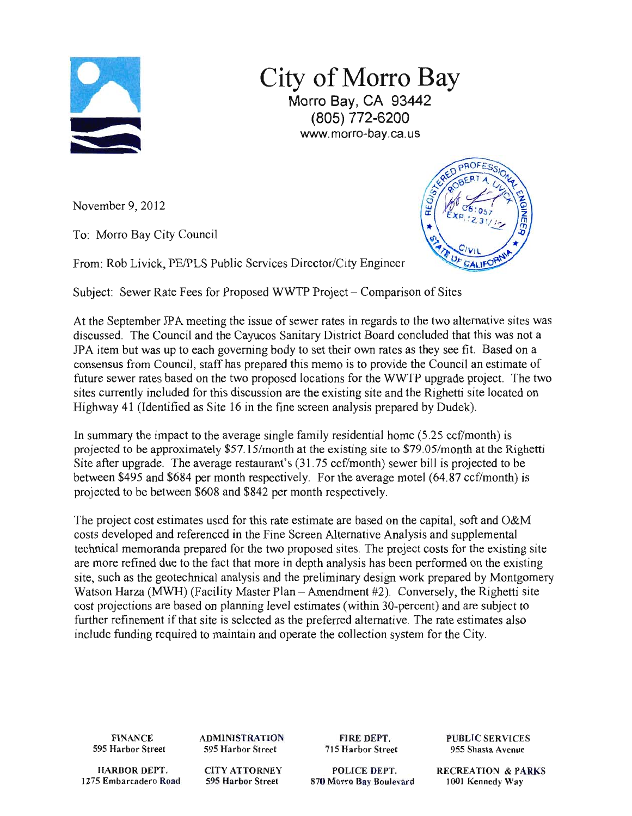

City of Morro Bay Morro Bay, CA 93442 (805) 772-6200 www.morro-bay.ca.us

November 9, 2012

To: Morro Bay City Council

From: Rob Livick, PE/PLS Public Services Director/City Engineer



Subject: Sewer Rate Fees for Proposed WWTP Project – Comparison of Sites

At the September JPA meeting the issue of sewer rates in regards to the two alternative sites was discussed. The Council and the Cayucos Sanitary District Board concluded that this was not a JPA item but was up to each governing body to set their own rates as they see fit. Based on a consensus from Council, staff has prepared this memo is to provide the Council an estimate of future sewer rates based on the two proposed locations for the WWTP upgrade project. The two sites currently included for this discussion are the existing site and the Righetti site located on Highway 41 (Identified as Site 16 in the fine screen analysis prepared by Dudek).

In summary the impact to the average single family residential home (5.25 ccf/month) is projected to be approximately \$57.15/month at the existing site to \$79.05/month at the Righetti Site after upgrade. The average restaurant's (31.75 ccf/month) sewer bill is projected to be between \$495 and \$684 per month respectively. For the average motel (64.87 ccf/month) is projected to be between \$608 and \$842 per month respectively.

The project cost estimates used for this rate estimate are based on the capital, soft and O&M costs developed and referenced in the Fine Screen Alternative Analysis and supplemental technical memoranda prepared for the two proposed sites. The project costs for the existing site are more refined due to the fact that more in depth analysis has been performed on the existing site, such as the geotechnical analysis and the preliminary design work prepared by Montgomery Watson Harza (MWH) (Facility Master Plan - Amendment #2). Conversely, the Righetti site cost projections are based on planning level estimates (within 30-percent) and are subject to further refinement if that site is selected as the preferred alternative. The rate estimates also include funding required to maintain and operate the collection system for the City.

**FINANCE 595 Harbor Street**  **ADMINISTRATION 595 Harbor Street** 

**FIR E DEPT. 715 Harbor Street**  **PUBLIC SERVICES 955 Shasta Avenue** 

**HARBOR DEPT. 1275 Embarcadero Road**  **CIT Y ATTORNEY 595 Harbor Street** 

POLICE DEPT. **870 Morro Bay Boulevard**  **RECREATION & PARKS 1001 Kennedy Way**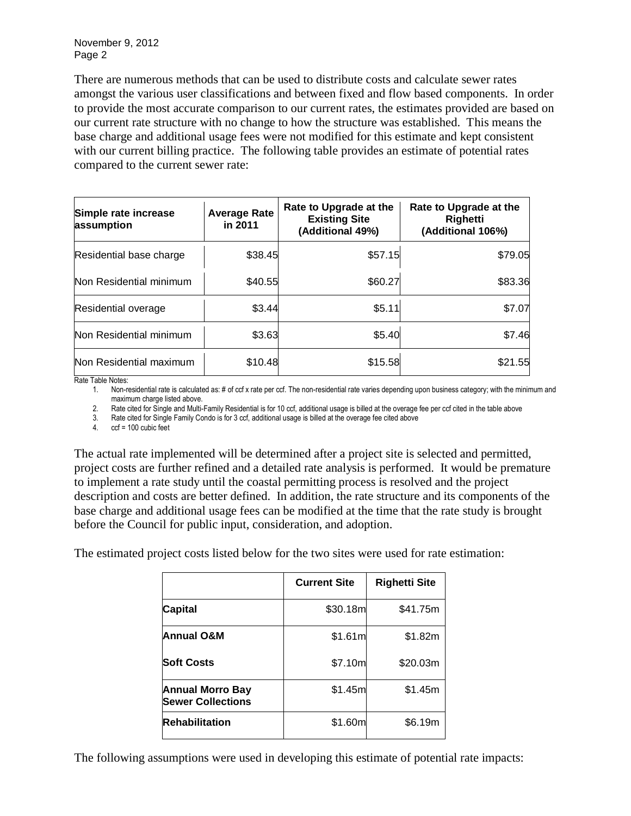November 9, 2012 Page 2

There are numerous methods that can be used to distribute costs and calculate sewer rates amongst the various user classifications and between fixed and flow based components. In order to provide the most accurate comparison to our current rates, the estimates provided are based on our current rate structure with no change to how the structure was established. This means the base charge and additional usage fees were not modified for this estimate and kept consistent with our current billing practice. The following table provides an estimate of potential rates compared to the current sewer rate:

| Simple rate increase<br>assumption | <b>Average Rate</b><br>in 2011 | Rate to Upgrade at the<br><b>Existing Site</b><br>(Additional 49%) | Rate to Upgrade at the<br><b>Righetti</b><br>(Additional 106%) |
|------------------------------------|--------------------------------|--------------------------------------------------------------------|----------------------------------------------------------------|
| Residential base charge            | \$38.45                        | \$57.15                                                            | \$79.05                                                        |
| Non Residential minimum            | \$40.55                        | \$60.27                                                            | \$83.36                                                        |
| Residential overage                | \$3.44                         | \$5.11                                                             | \$7.07                                                         |
| Non Residential minimum            | \$3.63                         | \$5.40                                                             | \$7.46                                                         |
| Non Residential maximum            | \$10.48                        | \$15.58                                                            | \$21.55                                                        |

Rate Table Notes:

1. Non-residential rate is calculated as: # of ccf x rate per ccf. The non-residential rate varies depending upon business category; with the minimum and maximum charge listed above.

2. Rate cited for Single and Multi-Family Residential is for 10 ccf, additional usage is billed at the overage fee per ccf cited in the table above

3. Rate cited for Single Family Condo is for 3 ccf, additional usage is billed at the overage fee cited above

4. ccf = 100 cubic feet

The actual rate implemented will be determined after a project site is selected and permitted, project costs are further refined and a detailed rate analysis is performed. It would be premature to implement a rate study until the coastal permitting process is resolved and the project description and costs are better defined. In addition, the rate structure and its components of the base charge and additional usage fees can be modified at the time that the rate study is brought before the Council for public input, consideration, and adoption.

The estimated project costs listed below for the two sites were used for rate estimation:

|                                                     | <b>Current Site</b> | <b>Righetti Site</b> |
|-----------------------------------------------------|---------------------|----------------------|
| <b>Capital</b>                                      | \$30.18m            | \$41.75m             |
| Annual O&M                                          | \$1.61m             | \$1.82m              |
| <b>Soft Costs</b>                                   | \$7.10m             | \$20.03m             |
| <b>Annual Morro Bay</b><br><b>Sewer Collections</b> | \$1.45m             | \$1.45m              |
| <b>Rehabilitation</b>                               | \$1.60m             | \$6.19m              |

The following assumptions were used in developing this estimate of potential rate impacts: